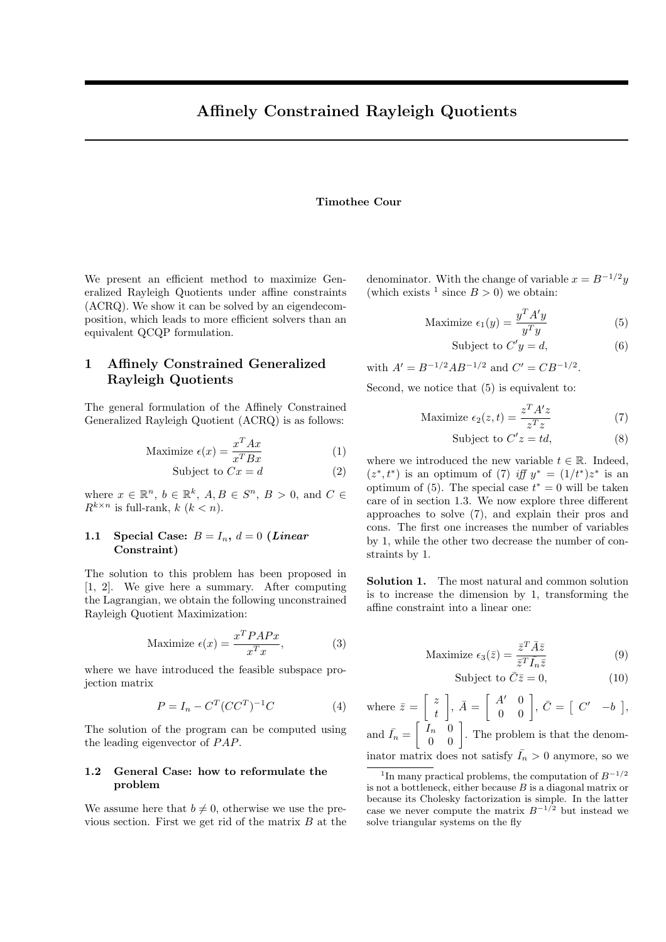## Timothee Cour

We present an efficient method to maximize Generalized Rayleigh Quotients under affine constraints (ACRQ). We show it can be solved by an eigendecomposition, which leads to more efficient solvers than an equivalent QCQP formulation.

## 1 Affinely Constrained Generalized Rayleigh Quotients

The general formulation of the Affinely Constrained Generalized Rayleigh Quotient (ACRQ) is as follows:

$$
\text{Maximize } \epsilon(x) = \frac{x^T A x}{x^T B x} \tag{1}
$$

$$
Subject to Cx = d \tag{2}
$$

where  $x \in \mathbb{R}^n$ ,  $b \in \mathbb{R}^k$ ,  $A, B \in S^n$ ,  $B > 0$ , and  $C \in$  $R^{k \times n}$  is full-rank,  $k (k < n)$ .

## 1.1 Special Case:  $B = I_n$ ,  $d = 0$  (Linear Constraint)

The solution to this problem has been proposed in [1, 2]. We give here a summary. After computing the Lagrangian, we obtain the following unconstrained Rayleigh Quotient Maximization:

$$
\text{Maximize } \epsilon(x) = \frac{x^T P A P x}{x^T x},\tag{3}
$$

where we have introduced the feasible subspace projection matrix

$$
P = I_n - C^T (CC^T)^{-1} C \tag{4}
$$

The solution of the program can be computed using the leading eigenvector of  $PAP$ .

#### 1.2 General Case: how to reformulate the problem

We assume here that  $b \neq 0$ , otherwise we use the previous section. First we get rid of the matrix  $B$  at the denominator. With the change of variable  $x = B^{-1/2}y$ (which exists <sup>1</sup> since  $B > 0$ ) we obtain:

$$
\text{Maximize } \epsilon_1(y) = \frac{y^T A' y}{y^T y} \tag{5}
$$

$$
Subject to C'y = d,\t\t(6)
$$

with 
$$
A' = B^{-1/2}AB^{-1/2}
$$
 and  $C' = CB^{-1/2}$ .

Second, we notice that (5) is equivalent to:

$$
\text{Maximize } \epsilon_2(z, t) = \frac{z^T A' z}{z^T z} \tag{7}
$$

$$
Subject to C'z = td,
$$
\n(8)

where we introduced the new variable  $t \in \mathbb{R}$ . Indeed,  $(z^*, t^*)$  is an optimum of (7) iff  $y^* = (1/t^*)z^*$  is an optimum of  $(5)$ . The special case  $t^* = 0$  will be taken care of in section 1.3. We now explore three different approaches to solve (7), and explain their pros and cons. The first one increases the number of variables by 1, while the other two decrease the number of constraints by 1.

Solution 1. The most natural and common solution is to increase the dimension by 1, transforming the affine constraint into a linear one:

Maximize 
$$
\epsilon_3(\bar{z}) = \frac{\bar{z}^T \bar{A}\bar{z}}{\bar{z}^T \bar{I}_n \bar{z}}
$$
 (9)

$$
Subject to \ \bar{C}\bar{z} = 0,\tag{10}
$$

where  $\bar{z} = \begin{bmatrix} z \\ 1 \end{bmatrix}$ t  $\begin{bmatrix} A' & 0 \\ 0 & 0 \end{bmatrix}$ ,  $\overline{C} = \begin{bmatrix} C' & -b \end{bmatrix}$ , and  $\bar{I}_n = \begin{bmatrix} I_n & 0 \\ 0 & 0 \end{bmatrix}$ . The problem is that the denominator matrix does not satisfy  $\bar{I}_n > 0$  anymore, so we

<sup>&</sup>lt;sup>1</sup>In many practical problems, the computation of  $B^{-1/2}$ is not a bottleneck, either because  $B$  is a diagonal matrix or because its Cholesky factorization is simple. In the latter case we never compute the matrix  $B^{-1/2}$  but instead we solve triangular systems on the fly